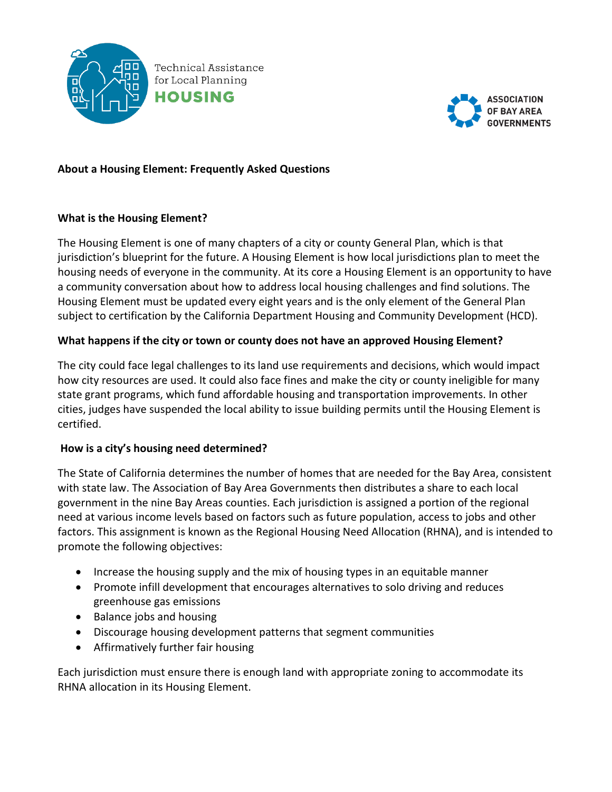

Technical Assistance for Local Planning



# **About a Housing Element: Frequently Asked Questions**

### **What is the Housing Element?**

The Housing Element is one of many chapters of a city or county General Plan, which is that jurisdiction's blueprint for the future. A Housing Element is how local jurisdictions plan to meet the housing needs of everyone in the community. At its core a Housing Element is an opportunity to have a community conversation about how to address local housing challenges and find solutions. The Housing Element must be updated every eight years and is the only element of the General Plan subject to certification by the California Department Housing and Community Development (HCD).

### **What happens if the city or town or county does not have an approved Housing Element?**

The city could face legal challenges to its land use requirements and decisions, which would impact how city resources are used. It could also face fines and make the city or county ineligible for many state grant programs, which fund affordable housing and transportation improvements. In other cities, judges have suspended the local ability to issue building permits until the Housing Element is certified.

### **How is a city's housing need determined?**

The State of California determines the number of homes that are needed for the Bay Area, consistent with state law. The Association of Bay Area Governments then distributes a share to each local government in the nine Bay Areas counties. Each jurisdiction is assigned a portion of the regional need at various income levels based on factors such as future population, access to jobs and other factors. This assignment is known as the Regional Housing Need Allocation (RHNA), and is intended to promote the following objectives:

- Increase the housing supply and the mix of housing types in an equitable manner
- Promote infill development that encourages alternatives to solo driving and reduces greenhouse gas emissions
- Balance jobs and housing
- Discourage housing development patterns that segment communities
- Affirmatively further fair housing

Each jurisdiction must ensure there is enough land with appropriate zoning to accommodate its RHNA allocation in its Housing Element.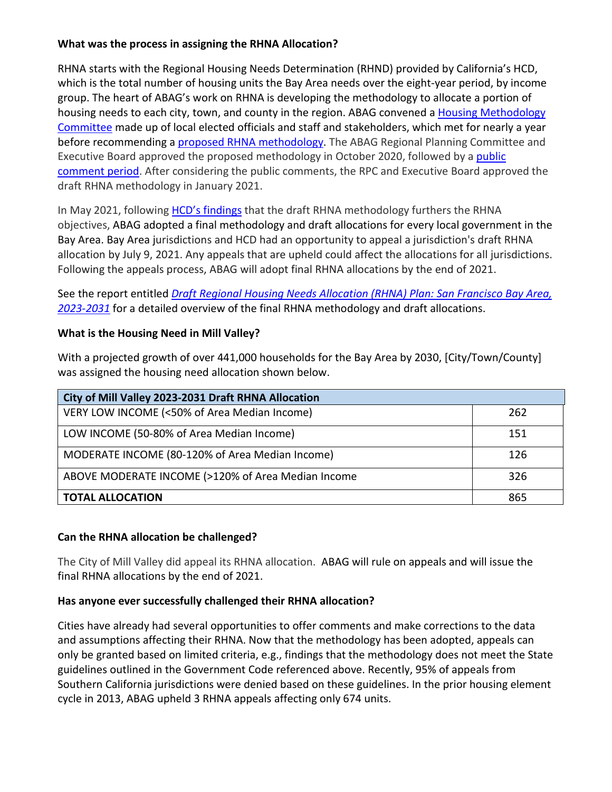## **What was the process in assigning the RHNA Allocation?**

RHNA starts with the Regional Housing Needs Determination (RHND) provided by California's HCD, which is the total number of housing units the Bay Area needs over the eight-year period, by income group. The heart of ABAG's work on RHNA is developing the methodology to allocate a portion of housing needs to each city, town, and county in the region. ABAG convened a Housing Methodology Committee made up of local elected officials and staff and stakeholders, which met for nearly a year before recommending a proposed RHNA methodology. The ABAG Regional Planning Committee and Executive Board approved the proposed methodology in October 2020, followed by a public comment period. After considering the public comments, the RPC and Executive Board approved the draft RHNA methodology in January 2021.

In May 2021, following HCD's findings that the draft RHNA methodology furthers the RHNA objectives, ABAG adopted a final methodology and draft allocations for every local government in the Bay Area. Bay Area jurisdictions and HCD had an opportunity to appeal a jurisdiction's draft RHNA allocation by July 9, 2021. Any appeals that are upheld could affect the allocations for all jurisdictions. Following the appeals process, ABAG will adopt final RHNA allocations by the end of 2021.

See the report entitled *Draft Regional Housing Needs Allocation (RHNA) Plan: San Francisco Bay Area, 2023-2031* for a detailed overview of the final RHNA methodology and draft allocations.

### **What is the Housing Need in Mill Valley?**

With a projected growth of over 441,000 households for the Bay Area by 2030, [City/Town/County] was assigned the housing need allocation shown below.

| City of Mill Valley 2023-2031 Draft RHNA Allocation |     |  |  |  |
|-----------------------------------------------------|-----|--|--|--|
| VERY LOW INCOME (<50% of Area Median Income)        | 262 |  |  |  |
| LOW INCOME (50-80% of Area Median Income)           | 151 |  |  |  |
| MODERATE INCOME (80-120% of Area Median Income)     | 126 |  |  |  |
| ABOVE MODERATE INCOME (>120% of Area Median Income  | 326 |  |  |  |
| <b>TOTAL ALLOCATION</b>                             | 865 |  |  |  |

### **Can the RHNA allocation be challenged?**

The City of Mill Valley did appeal its RHNA allocation. ABAG will rule on appeals and will issue the final RHNA allocations by the end of 2021.

### **Has anyone ever successfully challenged their RHNA allocation?**

Cities have already had several opportunities to offer comments and make corrections to the data and assumptions affecting their RHNA. Now that the methodology has been adopted, appeals can only be granted based on limited criteria, e.g., findings that the methodology does not meet the State guidelines outlined in the Government Code referenced above. Recently, 95% of appeals from Southern California jurisdictions were denied based on these guidelines. In the prior housing element cycle in 2013, ABAG upheld 3 RHNA appeals affecting only 674 units.